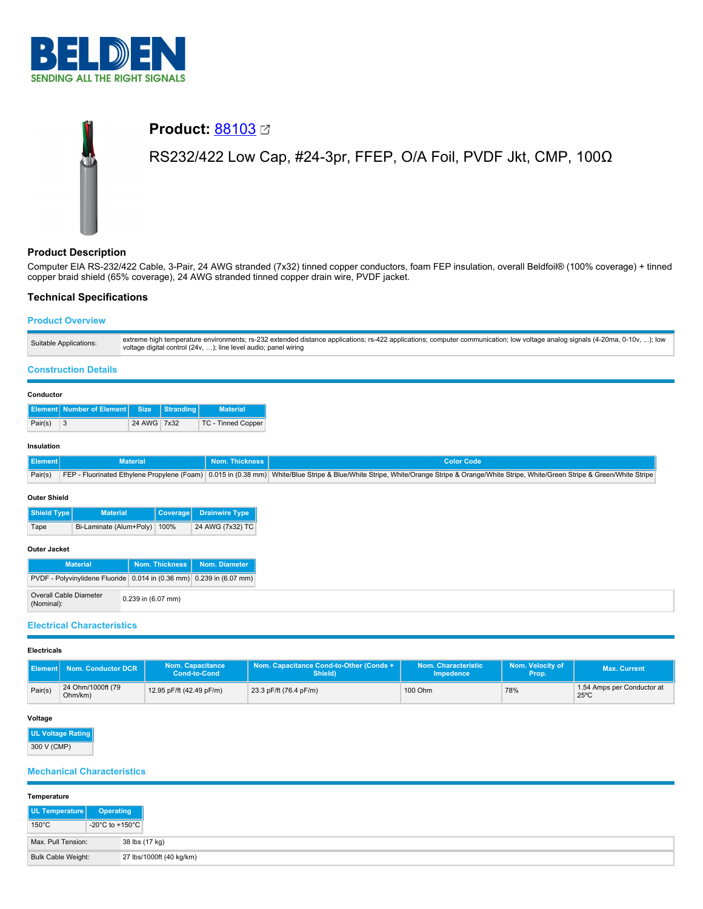

# **Product: [88103](https://catalog.belden.com/index.cfm?event=pd&p=PF_88103&tab=downloads) Ø** RS232/422 Low Cap, #24-3pr, FFEP, O/A Foil, PVDF Jkt, CMP, 100Ω

# **Product Description**

Computer EIA RS-232/422 Cable, 3-Pair, 24 AWG stranded (7x32) tinned copper conductors, foam FEP insulation, overall Beldfoil® (100% coverage) + tinned copper braid shield (65% coverage), 24 AWG stranded tinned copper drain wire, PVDF jacket.

# **Technical Specifications**

## **Product Overview**

| Suitable Applications: | extreme high temperature environments; rs-232 extended distance applications; rs-422 applications; computer communication; low voltage analog signals (4-20ma, 0-10v, ); low<br>voltage digital control (24v, ); line level audio; panel wiring |
|------------------------|-------------------------------------------------------------------------------------------------------------------------------------------------------------------------------------------------------------------------------------------------|
|                        |                                                                                                                                                                                                                                                 |

# **Construction Details**

## **Conductor**

|         | Element Number of Element Size Stranding |             | <b>Material</b>           |
|---------|------------------------------------------|-------------|---------------------------|
| Pair(s) |                                          | 24 AWG 7x32 | <b>TC - Tinned Copper</b> |

## **Insulation**

| Ⅱ Element I | Material | Nom. Thickness I | Color Code                                                                                                                                                                               |
|-------------|----------|------------------|------------------------------------------------------------------------------------------------------------------------------------------------------------------------------------------|
| Pair(s)     |          |                  | FEP - Fluorinated Ethylene Propylene (Foam) 0.015 in (0.38 mm) White/Blue Stripe & Blue/White Stripe, White/Crange Stripe & Orange/White Stripe, White/Green Stripe & Green/White Stripe |

#### **Outer Shield**

| Shield Type | <b>Material</b>              | Coverage Drainwire Type |
|-------------|------------------------------|-------------------------|
| Tape        | Bi-Laminate (Alum+Poly) 100% | 24 AWG (7x32) TC        |

# **Outer Jacket**

| -------------                                                        |                      |                                |
|----------------------------------------------------------------------|----------------------|--------------------------------|
| <b>Material</b>                                                      |                      | Nom. Thickness   Nom. Diameter |
| PVDF - Polyvinylidene Fluoride 0.014 in (0.36 mm) 0.239 in (6.07 mm) |                      |                                |
| Overall Cable Diameter<br>(Nominal):                                 | $0.239$ in (6.07 mm) |                                |

## **Electrical Characteristics**

#### **Electricals**

| <b>Element</b> | Nom. Conductor DCR           | Nom. Capacitance<br>Cond-to-Cond | Nom. Capacitance Cond-to-Other (Conds +<br>Shield) | Nom. Characteristic<br>Impedence | Nom. Velocity of<br>Prop. | Max. Current                                 |
|----------------|------------------------------|----------------------------------|----------------------------------------------------|----------------------------------|---------------------------|----------------------------------------------|
| Pair(s)        | 24 Ohm/1000ft (79<br>Ohm/km) | 12.95 pF/ft (42.49 pF/m)         | 23.3 pF/ft (76.4 pF/m)                             | 100 Ohm                          | 78%                       | 1.54 Amps per Conductor at<br>$25^{\circ}$ C |

#### **Voltage**

| <b>UL Voltage Rating</b> |  |
|--------------------------|--|
| 300 V (CMP)              |  |

# **Mechanical Characteristics**

|  | Temperature |
|--|-------------|
|--|-------------|

| .                  |                                     |                          |
|--------------------|-------------------------------------|--------------------------|
| UL Temperature     | Operating                           |                          |
| $150^{\circ}$ C    | $-20^{\circ}$ C to $+150^{\circ}$ C |                          |
| Max. Pull Tension: |                                     | 38 lbs (17 kg)           |
| Bulk Cable Weight: |                                     | 27 lbs/1000ft (40 kg/km) |